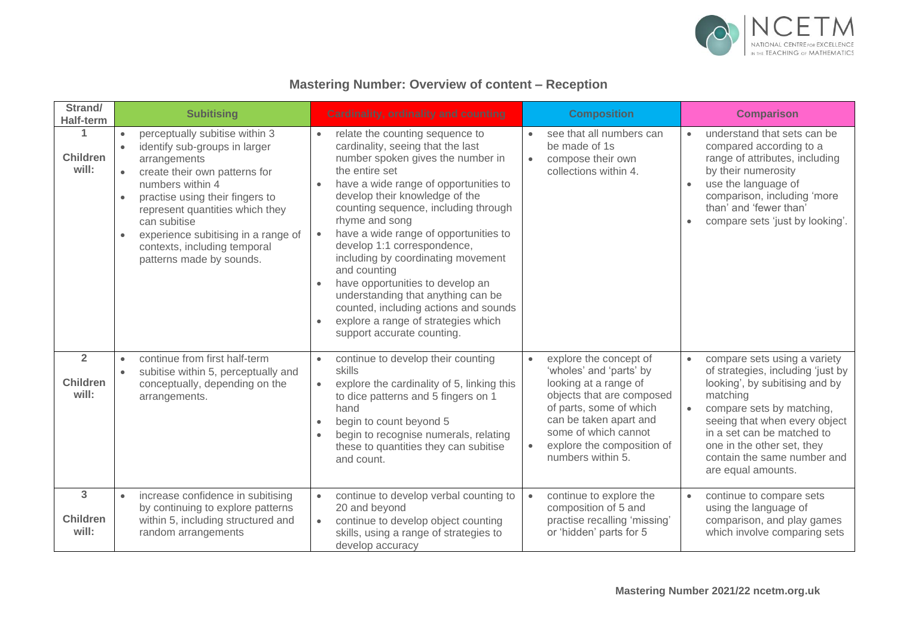

| Strand/<br><b>Half-term</b>                | <b>Subitising</b>                                                                                                                                                                                                                                                                                                                                                                              | <b>Cardinality, ordinality and counting</b>                                                                                                                                                                                                                                                                                                                                                                                                                                                                                                                                                                                                             | <b>Composition</b>                                                                                                                                                                                                                                                | <b>Comparison</b>                                                                                                                                                                                                                                                                                           |
|--------------------------------------------|------------------------------------------------------------------------------------------------------------------------------------------------------------------------------------------------------------------------------------------------------------------------------------------------------------------------------------------------------------------------------------------------|---------------------------------------------------------------------------------------------------------------------------------------------------------------------------------------------------------------------------------------------------------------------------------------------------------------------------------------------------------------------------------------------------------------------------------------------------------------------------------------------------------------------------------------------------------------------------------------------------------------------------------------------------------|-------------------------------------------------------------------------------------------------------------------------------------------------------------------------------------------------------------------------------------------------------------------|-------------------------------------------------------------------------------------------------------------------------------------------------------------------------------------------------------------------------------------------------------------------------------------------------------------|
| <b>Children</b><br>will:                   | perceptually subitise within 3<br>$\bullet$<br>identify sub-groups in larger<br>$\bullet$<br>arrangements<br>create their own patterns for<br>$\bullet$<br>numbers within 4<br>practise using their fingers to<br>$\bullet$<br>represent quantities which they<br>can subitise<br>experience subitising in a range of<br>$\bullet$<br>contexts, including temporal<br>patterns made by sounds. | relate the counting sequence to<br>$\bullet$<br>cardinality, seeing that the last<br>number spoken gives the number in<br>the entire set<br>have a wide range of opportunities to<br>$\bullet$<br>develop their knowledge of the<br>counting sequence, including through<br>rhyme and song<br>have a wide range of opportunities to<br>$\bullet$<br>develop 1:1 correspondence,<br>including by coordinating movement<br>and counting<br>have opportunities to develop an<br>$\bullet$<br>understanding that anything can be<br>counted, including actions and sounds<br>explore a range of strategies which<br>$\bullet$<br>support accurate counting. | see that all numbers can<br>be made of 1s<br>compose their own<br>$\bullet$<br>collections within 4.                                                                                                                                                              | understand that sets can be<br>$\bullet$<br>compared according to a<br>range of attributes, including<br>by their numerosity<br>use the language of<br>comparison, including 'more<br>than' and 'fewer than'<br>compare sets 'just by looking'.                                                             |
| $\overline{2}$<br><b>Children</b><br>will: | continue from first half-term<br>$\bullet$<br>subitise within 5, perceptually and<br>conceptually, depending on the<br>arrangements.                                                                                                                                                                                                                                                           | continue to develop their counting<br>$\bullet$<br>skills<br>explore the cardinality of 5, linking this<br>$\bullet$<br>to dice patterns and 5 fingers on 1<br>hand<br>begin to count beyond 5<br>$\bullet$<br>begin to recognise numerals, relating<br>these to quantities they can subitise<br>and count.                                                                                                                                                                                                                                                                                                                                             | explore the concept of<br>$\bullet$<br>'wholes' and 'parts' by<br>looking at a range of<br>objects that are composed<br>of parts, some of which<br>can be taken apart and<br>some of which cannot<br>explore the composition of<br>$\bullet$<br>numbers within 5. | compare sets using a variety<br>$\bullet$<br>of strategies, including 'just by<br>looking', by subitising and by<br>matching<br>compare sets by matching,<br>seeing that when every object<br>in a set can be matched to<br>one in the other set, they<br>contain the same number and<br>are equal amounts. |
| 3<br><b>Children</b><br>will:              | increase confidence in subitising<br>by continuing to explore patterns<br>within 5, including structured and<br>random arrangements                                                                                                                                                                                                                                                            | continue to develop verbal counting to<br>$\bullet$<br>20 and beyond<br>continue to develop object counting<br>$\bullet$<br>skills, using a range of strategies to<br>develop accuracy                                                                                                                                                                                                                                                                                                                                                                                                                                                                  | continue to explore the<br>$\bullet$<br>composition of 5 and<br>practise recalling 'missing'<br>or 'hidden' parts for 5                                                                                                                                           | continue to compare sets<br>$\bullet$<br>using the language of<br>comparison, and play games<br>which involve comparing sets                                                                                                                                                                                |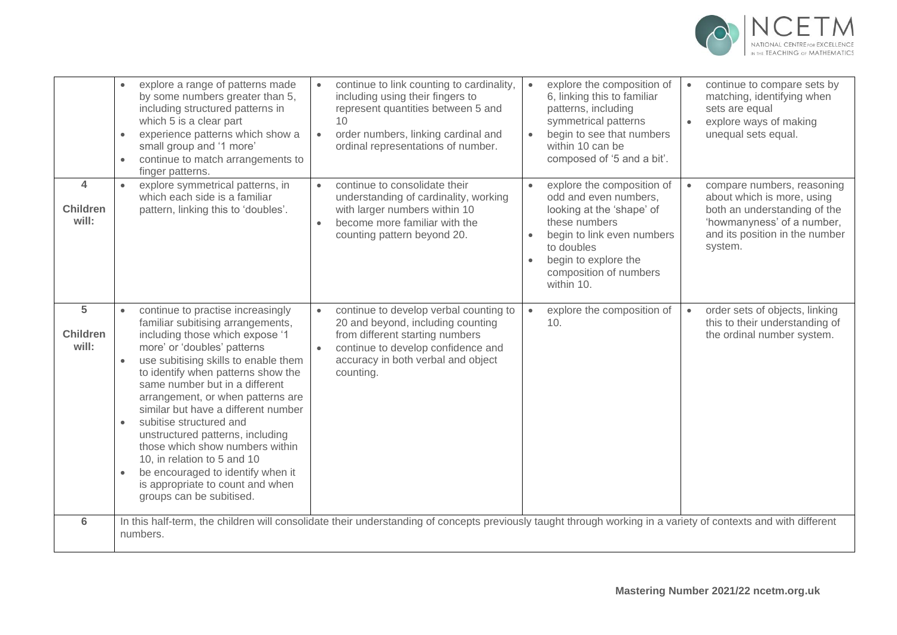

|                                                     | explore a range of patterns made<br>by some numbers greater than 5,<br>including structured patterns in<br>which 5 is a clear part<br>experience patterns which show a<br>$\bullet$<br>small group and '1 more'<br>continue to match arrangements to<br>$\bullet$<br>finger patterns.                                                                                                                                                                                                                                                                                                                | continue to link counting to cardinality,<br>$\bullet$<br>including using their fingers to<br>represent quantities between 5 and<br>10<br>order numbers, linking cardinal and<br>$\bullet$<br>ordinal representations of number. | explore the composition of<br>$\bullet$<br>6, linking this to familiar<br>patterns, including<br>symmetrical patterns<br>begin to see that numbers<br>$\bullet$<br>within 10 can be<br>composed of '5 and a bit'.                       | continue to compare sets by<br>$\bullet$<br>matching, identifying when<br>sets are equal<br>explore ways of making<br>$\bullet$<br>unequal sets equal.              |  |
|-----------------------------------------------------|------------------------------------------------------------------------------------------------------------------------------------------------------------------------------------------------------------------------------------------------------------------------------------------------------------------------------------------------------------------------------------------------------------------------------------------------------------------------------------------------------------------------------------------------------------------------------------------------------|----------------------------------------------------------------------------------------------------------------------------------------------------------------------------------------------------------------------------------|-----------------------------------------------------------------------------------------------------------------------------------------------------------------------------------------------------------------------------------------|---------------------------------------------------------------------------------------------------------------------------------------------------------------------|--|
| $\overline{\mathbf{A}}$<br><b>Children</b><br>will: | explore symmetrical patterns, in<br>which each side is a familiar<br>pattern, linking this to 'doubles'.                                                                                                                                                                                                                                                                                                                                                                                                                                                                                             | continue to consolidate their<br>$\bullet$<br>understanding of cardinality, working<br>with larger numbers within 10<br>become more familiar with the<br>$\bullet$<br>counting pattern beyond 20.                                | explore the composition of<br>$\bullet$<br>odd and even numbers,<br>looking at the 'shape' of<br>these numbers<br>begin to link even numbers<br>to doubles<br>begin to explore the<br>$\bullet$<br>composition of numbers<br>within 10. | compare numbers, reasoning<br>about which is more, using<br>both an understanding of the<br>'howmanyness' of a number,<br>and its position in the number<br>system. |  |
| 5<br><b>Children</b><br>will:                       | continue to practise increasingly<br>familiar subitising arrangements,<br>including those which expose '1<br>more' or 'doubles' patterns<br>use subitising skills to enable them<br>to identify when patterns show the<br>same number but in a different<br>arrangement, or when patterns are<br>similar but have a different number<br>subitise structured and<br>$\bullet$<br>unstructured patterns, including<br>those which show numbers within<br>10, in relation to 5 and 10<br>be encouraged to identify when it<br>$\bullet$<br>is appropriate to count and when<br>groups can be subitised. | continue to develop verbal counting to<br>$\bullet$<br>20 and beyond, including counting<br>from different starting numbers<br>continue to develop confidence and<br>accuracy in both verbal and object<br>counting.             | explore the composition of<br>10.                                                                                                                                                                                                       | order sets of objects, linking<br>this to their understanding of<br>the ordinal number system.                                                                      |  |
| 6                                                   | In this half-term, the children will consolidate their understanding of concepts previously taught through working in a variety of contexts and with different<br>numbers.                                                                                                                                                                                                                                                                                                                                                                                                                           |                                                                                                                                                                                                                                  |                                                                                                                                                                                                                                         |                                                                                                                                                                     |  |
|                                                     |                                                                                                                                                                                                                                                                                                                                                                                                                                                                                                                                                                                                      |                                                                                                                                                                                                                                  |                                                                                                                                                                                                                                         |                                                                                                                                                                     |  |